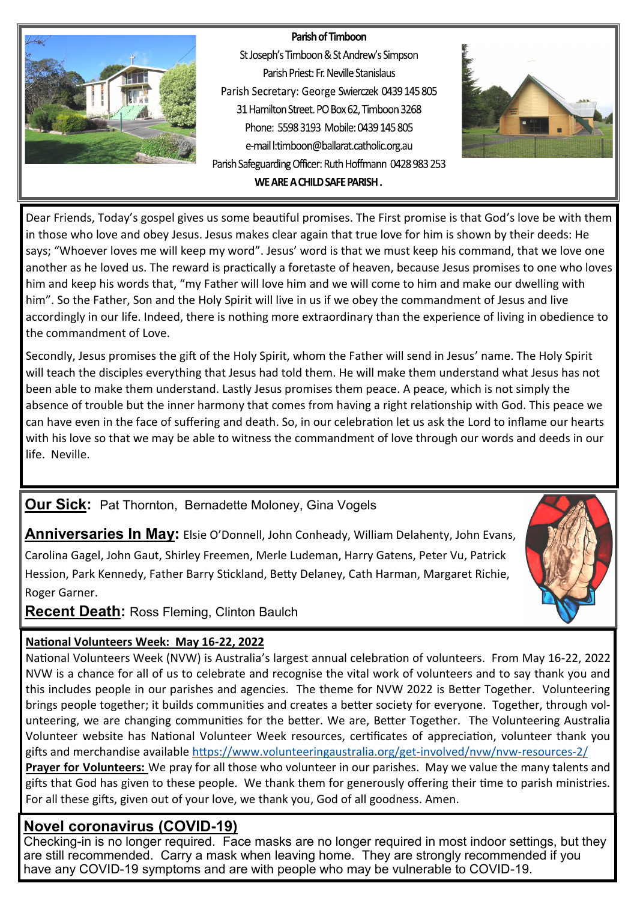#### Parish of Timboon



St Joseph's Timboon & St Andrew's Simpson Parish Priest: Fr. Neville Stanislaus Parish Secretary: George Swierczek 0439 145 805 31 Hamilton Street. PO Box 62, Timboon 3268 Phone: 5598.3193 Mobile: 0439.145.805 e-mail l:timboon@ballarat.catholic.org.au Parish Safeguarding Officer: Ruth Hoffmann 0428 983 253 WE ARE A CHILD SAFE PARISH.



Dear Friends, Today's gospel gives us some beautiful promises. The First promise is that God's love be with them in those who love and obey Jesus. Jesus makes clear again that true love for him is shown by their deeds: He says; "Whoever loves me will keep my word". Jesus' word is that we must keep his command, that we love one another as he loved us. The reward is practically a foretaste of heaven, because Jesus promises to one who loves him and keep his words that, "my Father will love him and we will come to him and make our dwelling with him". So the Father, Son and the Holy Spirit will live in us if we obey the commandment of Jesus and live accordingly in our life. Indeed, there is nothing more extraordinary than the experience of living in obedience to the commandment of Love.

Secondly, Jesus promises the gift of the Holy Spirit, whom the Father will send in Jesus' name. The Holy Spirit will teach the disciples everything that Jesus had told them. He will make them understand what Jesus has not been able to make them understand. Lastly Jesus promises them peace. A peace, which is not simply the absence of trouble but the inner harmony that comes from having a right relationship with God. This peace we can have even in the face of suffering and death. So, in our celebration let us ask the Lord to inflame our hearts with his love so that we may be able to witness the commandment of love through our words and deeds in our life. Neville.

# **Our Sick:** Pat Thornton, Bernadette Moloney, Gina Vogels

**Anniversaries In May:** Elsie O'Donnell, John Conheady, William Delahenty, John Evans,

Carolina Gagel, John Gaut, Shirley Freemen, Merle Ludeman, Harry Gatens, Peter Vu, Patrick Hession, Park Kennedy, Father Barry Stickland, Betty Delaney, Cath Harman, Margaret Richie, Roger Garner.

**Recent Death:** Ross Fleming, Clinton Baulch

### **National Volunteers Week: May 16-22, 2022**

National Volunteers Week (NVW) is Australia's largest annual celebration of volunteers. From May 16-22, 2022 NVW is a chance for all of us to celebrate and recognise the vital work of volunteers and to say thank you and this includes people in our parishes and agencies. The theme for NVW 2022 is Better Together. Volunteering brings people together; it builds communities and creates a better society for everyone. Together, through volunteering, we are changing communities for the better. We are, Better Together. The Volunteering Australia Volunteer website has National Volunteer Week resources, certificates of appreciation, volunteer thank you gifts and merchandise available [https://www.volunteeringaustralia.org/get](https://www.volunteeringaustralia.org/get-involved/nvw/nvw-resources-2/)-involved/nvw/nvw-resources-2/

**Prayer for Volunteers:** We pray for all those who volunteer in our parishes. May we value the many talents and gifts that God has given to these people. We thank them for generously offering their time to parish ministries. For all these gifts, given out of your love, we thank you, God of all goodness. Amen.

# **Novel coronavirus (COVID-19)**

Checking-in is no longer required. Face masks are no longer required in most indoor settings, but they are still recommended. Carry a mask when leaving home. They are strongly recommended if you have any COVID-19 symptoms and are with people who may be vulnerable to COVID-19.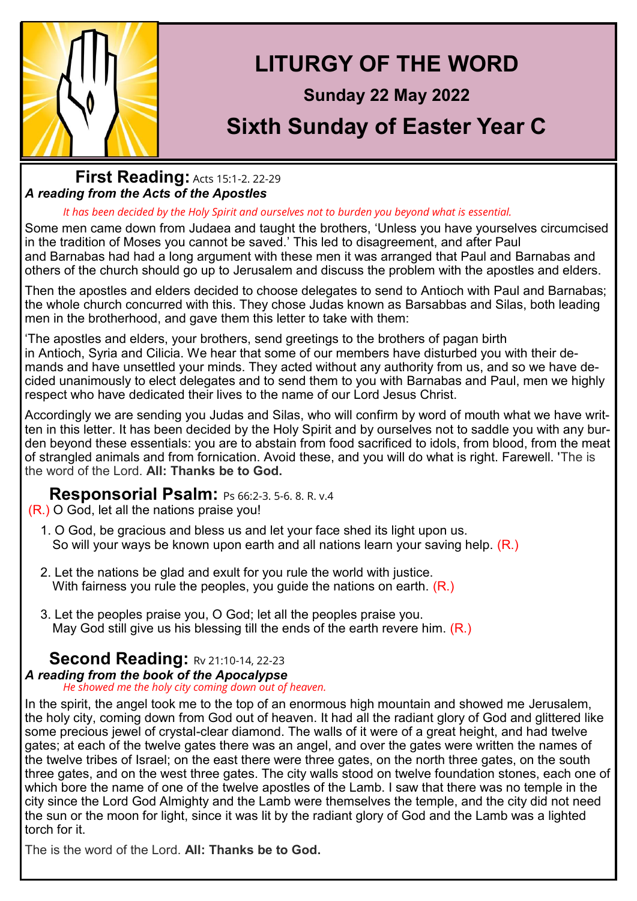

# **LITURGY OF THE WORD**

# **Sunday 22 May 2022**

# **Sixth Sunday of Easter Year C**

### **First Reading: [Acts 15:1](https://liturgyhelp.com/ritual/lectionary/LectionaryList%7Cact#act015)-2. 22-29** *A reading from the Acts of the Apostles*

#### *It has been decided by the Holy Spirit and ourselves not to burden you beyond what is essential.*

Some men came down from Judaea and taught the brothers, 'Unless you have yourselves circumcised in the tradition of Moses you cannot be saved.' This led to disagreement, and after Paul and Barnabas had had a long argument with these men it was arranged that Paul and Barnabas and others of the church should go up to Jerusalem and discuss the problem with the apostles and elders.

Then the apostles and elders decided to choose delegates to send to Antioch with Paul and Barnabas; the whole church concurred with this. They chose Judas known as Barsabbas and Silas, both leading men in the brotherhood, and gave them this letter to take with them:

'The apostles and elders, your brothers, send greetings to the brothers of pagan birth in Antioch, Syria and Cilicia. We hear that some of our members have disturbed you with their demands and have unsettled your minds. They acted without any authority from us, and so we have decided unanimously to elect delegates and to send them to you with Barnabas and Paul, men we highly respect who have dedicated their lives to the name of our Lord Jesus Christ.

Accordingly we are sending you Judas and Silas, who will confirm by word of mouth what we have written in this letter. It has been decided by the Holy Spirit and by ourselves not to saddle you with any burden beyond these essentials: you are to abstain from food sacrificed to idols, from blood, from the meat of strangled animals and from fornication. Avoid these, and you will do what is right. Farewell. 'The is the word of the Lord. **All: Thanks be to God.**

# **Responsorial Psalm:** Ps 66:2-3. 5-[6. 8. R. v.4](https://liturgyhelp.com/ritual/lectionary/LectionaryListPsalm%7Cpsm)

### (R.) O God, let all the nations praise you!

- 1. O God, be gracious and bless us and let your face shed its light upon us. So will your ways be known upon earth and all nations learn your saving help. (R.)
- 2. Let the nations be glad and exult for you rule the world with justice. With fairness you rule the peoples, you guide the nations on earth. (R.)
- 3. Let the peoples praise you, O God; let all the peoples praise you. May God still give us his blessing till the ends of the earth revere him. (R.)

# **Second Reading: [Rv 21:10](https://liturgyhelp.com/ritual/lectionary/LectionaryList%7Crev#rev021)-14, 22-23**

#### *A reading from the book of the Apocalypse He showed me the holy city coming down out of heaven.*

In the spirit, the angel took me to the top of an enormous high mountain and showed me Jerusalem, the holy city, coming down from God out of heaven. It had all the radiant glory of God and glittered like some precious jewel of crystal-clear diamond. The walls of it were of a great height, and had twelve gates; at each of the twelve gates there was an angel, and over the gates were written the names of the twelve tribes of Israel; on the east there were three gates, on the north three gates, on the south three gates, and on the west three gates. The city walls stood on twelve foundation stones, each one of which bore the name of one of the twelve apostles of the Lamb. I saw that there was no temple in the city since the Lord God Almighty and the Lamb were themselves the temple, and the city did not need the sun or the moon for light, since it was lit by the radiant glory of God and the Lamb was a lighted torch for it.

The is the word of the Lord. **All: Thanks be to God.**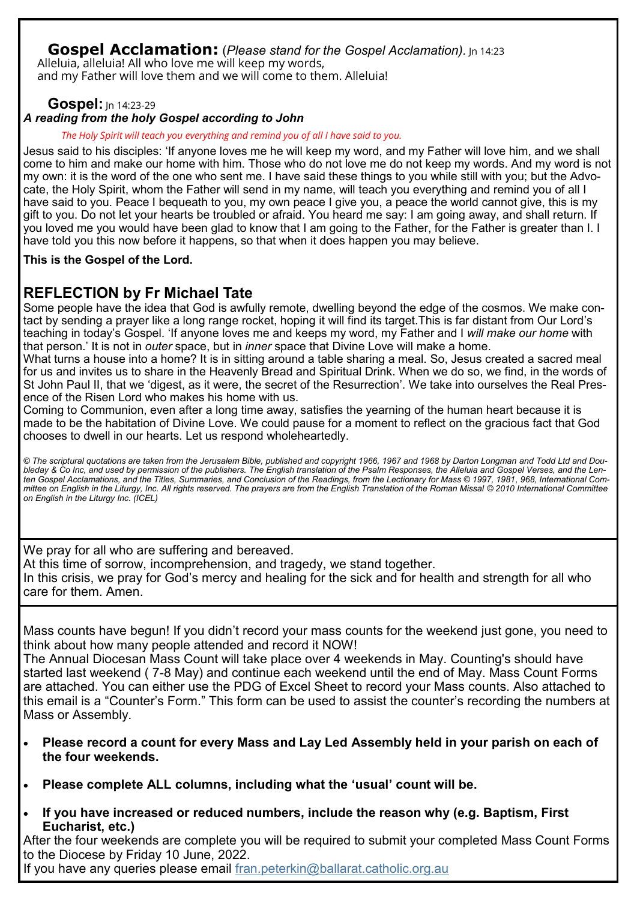### **Gospel Acclamation:** (*Please stand for the Gospel Acclamation*). In 14:23

Alleluia, alleluia! All who love me will keep my words, and my Father will love them and we will come to them. Alleluia!

### **Gospel:** In 14:23-29

### *A reading from the holy Gospel according to John*

*The Holy Spirit will teach you everything and remind you of all I have said to you.*

Jesus said to his disciples: 'If anyone loves me he will keep my word, and my Father will love him, and we shall come to him and make our home with him. Those who do not love me do not keep my words. And my word is not my own: it is the word of the one who sent me. I have said these things to you while still with you; but the Advocate, the Holy Spirit, whom the Father will send in my name, will teach you everything and remind you of all I have said to you. Peace I bequeath to you, my own peace I give you, a peace the world cannot give, this is my gift to you. Do not let your hearts be troubled or afraid. You heard me say: I am going away, and shall return. If you loved me you would have been glad to know that I am going to the Father, for the Father is greater than I. I have told you this now before it happens, so that when it does happen you may believe.

**This is the Gospel of the Lord.**

# **REFLECTION by Fr Michael Tate**

Some people have the idea that God is awfully remote, dwelling beyond the edge of the cosmos. We make contact by sending a prayer like a long range rocket, hoping it will find its target.This is far distant from Our Lord's teaching in today's Gospel. 'If anyone loves me and keeps my word, my Father and I *will make our home* with that person.' It is not in *outer* space, but in *inner* space that Divine Love will make a home.

What turns a house into a home? It is in sitting around a table sharing a meal. So, Jesus created a sacred meal for us and invites us to share in the Heavenly Bread and Spiritual Drink. When we do so, we find, in the words of St John Paul II, that we 'digest, as it were, the secret of the Resurrection'. We take into ourselves the Real Presence of the Risen Lord who makes his home with us.

Coming to Communion, even after a long time away, satisfies the yearning of the human heart because it is made to be the habitation of Divine Love. We could pause for a moment to reflect on the gracious fact that God chooses to dwell in our hearts. Let us respond wholeheartedly.

*© The scriptural quotations are taken from the Jerusalem Bible, published and copyright 1966, 1967 and 1968 by Darton Longman and Todd Ltd and Doubleday & Co Inc, and used by permission of the publishers. The English translation of the Psalm Responses, the Alleluia and Gospel Verses, and the Lenten Gospel Acclamations, and the Titles, Summaries, and Conclusion of the Readings, from the Lectionary for Mass © 1997, 1981, 968, International Committee on English in the Liturgy, Inc. All rights reserved. The prayers are from the English Translation of the Roman Missal © 2010 International Committee on English in the Liturgy Inc. (ICEL)*

We pray for all who are suffering and bereaved. At this time of sorrow, incomprehension, and tragedy, we stand together. In this crisis, we pray for God's mercy and healing for the sick and for health and strength for all who care for them. Amen.

Mass counts have begun! If you didn't record your mass counts for the weekend just gone, you need to think about how many people attended and record it NOW!

The Annual Diocesan Mass Count will take place over 4 weekends in May. Counting's should have started last weekend ( 7-8 May) and continue each weekend until the end of May. Mass Count Forms are attached. You can either use the PDG of Excel Sheet to record your Mass counts. Also attached to this email is a "Counter's Form." This form can be used to assist the counter's recording the numbers at Mass or Assembly.

- **Please record a count for every Mass and Lay Led Assembly held in your parish on each of the four weekends.**
- **Please complete ALL columns, including what the 'usual' count will be.**
- **If you have increased or reduced numbers, include the reason why (e.g. Baptism, First Eucharist, etc.)**

After the four weekends are complete you will be required to submit your completed Mass Count Forms to the Diocese by Friday 10 June, 2022.

If you have any queries please email fran.peterkin@ballarat.catholic.org.au